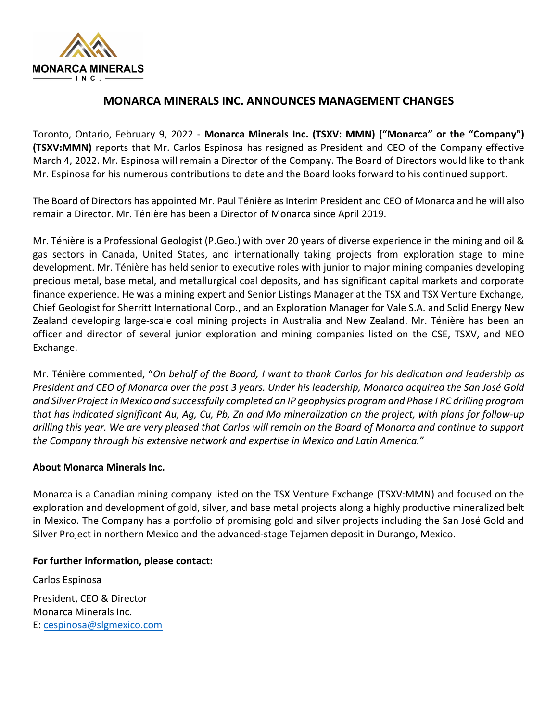

## MONARCA MINERALS INC. ANNOUNCES MANAGEMENT CHANGES

Toronto, Ontario, February 9, 2022 - Monarca Minerals Inc. (TSXV: MMN) ("Monarca" or the "Company") (TSXV:MMN) reports that Mr. Carlos Espinosa has resigned as President and CEO of the Company effective March 4, 2022. Mr. Espinosa will remain a Director of the Company. The Board of Directors would like to thank Mr. Espinosa for his numerous contributions to date and the Board looks forward to his continued support.

The Board of Directors has appointed Mr. Paul Ténière as Interim President and CEO of Monarca and he will also remain a Director. Mr. Ténière has been a Director of Monarca since April 2019.

Mr. Ténière is a Professional Geologist (P.Geo.) with over 20 years of diverse experience in the mining and oil & gas sectors in Canada, United States, and internationally taking projects from exploration stage to mine development. Mr. Ténière has held senior to executive roles with junior to major mining companies developing precious metal, base metal, and metallurgical coal deposits, and has significant capital markets and corporate finance experience. He was a mining expert and Senior Listings Manager at the TSX and TSX Venture Exchange, Chief Geologist for Sherritt International Corp., and an Exploration Manager for Vale S.A. and Solid Energy New Zealand developing large-scale coal mining projects in Australia and New Zealand. Mr. Ténière has been an officer and director of several junior exploration and mining companies listed on the CSE, TSXV, and NEO Exchange.

Mr. Ténière commented, "On behalf of the Board, I want to thank Carlos for his dedication and leadership as President and CEO of Monarca over the past 3 years. Under his leadership, Monarca acquired the San José Gold and Silver Project in Mexico and successfully completed an IP geophysics program and Phase I RC drilling program that has indicated significant Au, Ag, Cu, Pb, Zn and Mo mineralization on the project, with plans for follow-up drilling this year. We are very pleased that Carlos will remain on the Board of Monarca and continue to support the Company through his extensive network and expertise in Mexico and Latin America."

## About Monarca Minerals Inc.

Monarca is a Canadian mining company listed on the TSX Venture Exchange (TSXV:MMN) and focused on the exploration and development of gold, silver, and base metal projects along a highly productive mineralized belt in Mexico. The Company has a portfolio of promising gold and silver projects including the San José Gold and Silver Project in northern Mexico and the advanced-stage Tejamen deposit in Durango, Mexico.

## For further information, please contact:

Carlos Espinosa President, CEO & Director Monarca Minerals Inc. E: cespinosa@slgmexico.com